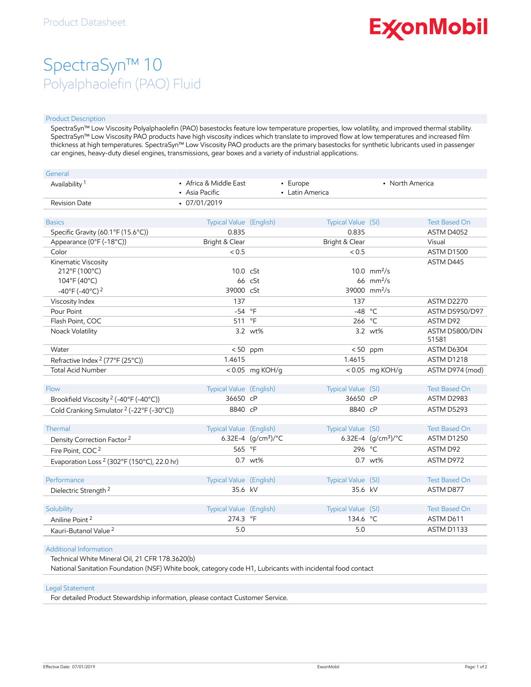# **ExconMobil**

## SpectraSyn™ 10 Polyalphaolefin (PAO) Fluid

#### Product Description

SpectraSyn™ Low Viscosity Polyalphaolefin (PAO) basestocks feature low temperature properties, low volatility, and improved thermal stability. SpectraSyn™ Low Viscosity PAO products have high viscosity indices which translate to improved flow at low temperatures and increased film thickness at high temperatures. SpectraSyn™ Low Viscosity PAO products are the primary basestocks for synthetic lubricants used in passenger car engines, heavy-duty diesel engines, transmissions, gear boxes and a variety of industrial applications.

| General                                                |                                          |                       |                             |                              |                         |
|--------------------------------------------------------|------------------------------------------|-----------------------|-----------------------------|------------------------------|-------------------------|
| Availability <sup>1</sup>                              | • Africa & Middle East<br>• Asia Pacific |                       | - Europe<br>• Latin America | • North America              |                         |
| <b>Revision Date</b>                                   | $-07/01/2019$                            |                       |                             |                              |                         |
| <b>Basics</b>                                          | Typical Value (English)                  |                       | Typical Value (SI)          |                              | <b>Test Based On</b>    |
| Specific Gravity (60.1°F (15.6°C))                     | 0.835                                    |                       | 0.835                       |                              | ASTM D4052              |
| Appearance (0°F (-18°C))                               | Bright & Clear                           |                       | Bright & Clear              |                              | Visual                  |
| Color                                                  | < 0.5                                    |                       | < 0.5                       |                              | ASTM D1500              |
| Kinematic Viscosity                                    |                                          |                       |                             |                              | ASTM D445               |
| 212°F (100°C)                                          | 10.0 cSt                                 |                       |                             | 10.0 $mm^2/s$                |                         |
| 104°F (40°C)                                           |                                          | 66 cSt                |                             | 66 $mm2/s$                   |                         |
| $-40^{\circ}$ F (-40°C) <sup>2</sup>                   | 39000 cSt                                |                       |                             | 39000 mm <sup>2</sup> /s     |                         |
| Viscosity Index                                        | 137                                      |                       | 137                         |                              | ASTM D2270              |
| Pour Point                                             | $-54$                                    | $\circ$ F             | $-48$                       | $^{\circ}C$                  | <b>ASTM D5950/D97</b>   |
| Flash Point, COC                                       | 511                                      | $\circ$ F             | 266                         | $^{\circ}$ C                 | <b>ASTM D92</b>         |
| Noack Volatility                                       |                                          | 3.2 wt%               |                             | 3.2 wt%                      | ASTM D5800/DIN<br>51581 |
| Water                                                  |                                          | $< 50$ ppm            | < 50                        | ppm                          | ASTM D6304              |
| Refractive Index <sup>2</sup> (77°F (25°C))            | 1.4615                                   |                       | 1.4615                      |                              | ASTM D1218              |
| <b>Total Acid Number</b>                               |                                          | <0.05 mg KOH/g        |                             | <0.05 mg KOH/g               | ASTM D974 (mod)         |
| Flow                                                   | Typical Value (English)                  |                       | Typical Value (SI)          |                              | <b>Test Based On</b>    |
| Brookfield Viscosity <sup>2</sup> (-40°F (-40°C))      | 36650 cP                                 |                       | 36650 cP                    |                              | ASTM D2983              |
| Cold Cranking Simulator <sup>2</sup> (-22°F (-30°C))   | 8840 cP                                  |                       | 8840 cP                     |                              | ASTM D5293              |
| Thermal                                                | Typical Value (English)                  |                       | Typical Value (SI)          |                              | <b>Test Based On</b>    |
| Density Correction Factor <sup>2</sup>                 |                                          | 6.32E-4 $(q/cm3)$ /°C |                             | 6.32E-4 $(q/cm^3)/^{\circ}C$ | <b>ASTM D1250</b>       |
| Fire Point, COC <sup>2</sup>                           | 565 °F                                   |                       | 296                         | $^{\circ}$ C                 | ASTM D92                |
| Evaporation Loss <sup>2</sup> (302°F (150°C), 22.0 hr) |                                          | 0.7 wt%               |                             | 0.7 wt%                      | ASTM D972               |
| Performance                                            | Typical Value (English)                  |                       | Typical Value (SI)          |                              | <b>Test Based On</b>    |
| Dielectric Strength <sup>2</sup>                       | 35.6 kV                                  |                       | 35.6 kV                     |                              | ASTM D877               |
|                                                        |                                          |                       |                             |                              |                         |
| Solubility                                             | <b>Typical Value (English)</b>           |                       | Typical Value (SI)          |                              | <b>Test Based On</b>    |
| Aniline Point <sup>2</sup>                             | 274.3 °F                                 |                       | 134.6 °C                    |                              | ASTM D611               |
| Kauri-Butanol Value <sup>2</sup>                       | 5.0                                      |                       | 5.0                         |                              | ASTM D1133              |

#### Additional Information

Technical White Mineral Oil, 21 CFR 178.3620(b)

National Sanitation Foundation (NSF) White book, category code H1, Lubricants with incidental food contact

#### Legal Statement

For detailed Product Stewardship information, please contact Customer Service.